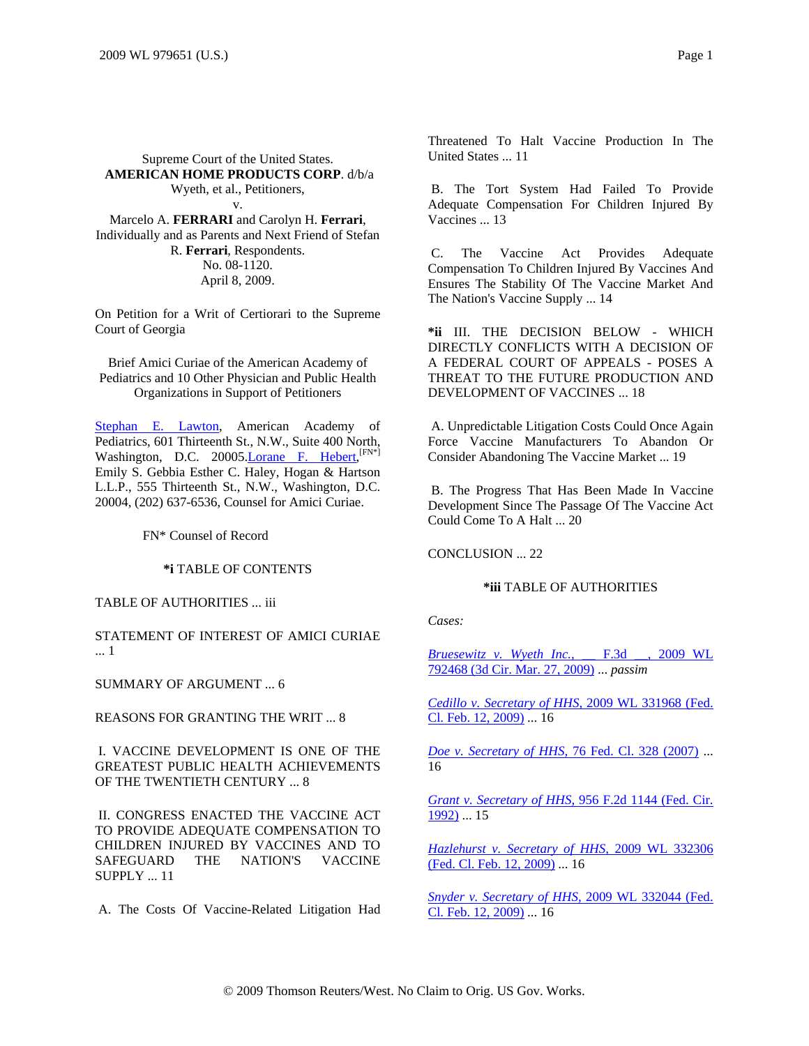Supreme Court of the United States. **AMERICAN HOME PRODUCTS CORP**. d/b/a Wyeth, et al., Petitioners, v. Marcelo A. **FERRARI** and Carolyn H. **Ferrari**, Individually and as Parents and Next Friend of Stefan

R. **Ferrari**, Respondents. No. 08-1120. April 8, 2009.

On Petition for a Writ of Certiorari to the Supreme Court of Georgia

Brief Amici Curiae of the American Academy of Pediatrics and 10 Other Physician and Public Health Organizations in Support of Petitioners

Stephan E. Lawton, American Academy of Pediatrics, 601 Thirteenth St., N.W., Suite 400 North, Washington, D.C. 20005. Lorane F. Hebert, [FN\*] Emily S. Gebbia Esther C. Haley, Hogan & Hartson L.L.P., 555 Thirteenth St., N.W., Washington, D.C. 20004, (202) 637-6536, Counsel for Amici Curiae.

FN\* Counsel of Record

**\*i** TABLE OF CONTENTS

TABLE OF AUTHORITIES ... iii

STATEMENT OF INTEREST OF AMICI CURIAE ... 1

SUMMARY OF ARGUMENT ... 6

REASONS FOR GRANTING THE WRIT ... 8

 I. VACCINE DEVELOPMENT IS ONE OF THE GREATEST PUBLIC HEALTH ACHIEVEMENTS OF THE TWENTIETH CENTURY ... 8

 II. CONGRESS ENACTED THE VACCINE ACT TO PROVIDE ADEQUATE COMPENSATION TO CHILDREN INJURED BY VACCINES AND TO SAFEGUARD THE NATION'S VACCINE SUPPLY ... 11

A. The Costs Of Vaccine-Related Litigation Had

Threatened To Halt Vaccine Production In The United States ... 11

 B. The Tort System Had Failed To Provide Adequate Compensation For Children Injured By Vaccines ... 13

 C. The Vaccine Act Provides Adequate Compensation To Children Injured By Vaccines And Ensures The Stability Of The Vaccine Market And The Nation's Vaccine Supply ... 14

**\*ii** III. THE DECISION BELOW - WHICH DIRECTLY CONFLICTS WITH A DECISION OF A FEDERAL COURT OF APPEALS - POSES A THREAT TO THE FUTURE PRODUCTION AND DEVELOPMENT OF VACCINES ... 18

 A. Unpredictable Litigation Costs Could Once Again Force Vaccine Manufacturers To Abandon Or Consider Abandoning The Vaccine Market ... 19

 B. The Progress That Has Been Made In Vaccine Development Since The Passage Of The Vaccine Act Could Come To A Halt ... 20

CONCLUSION ... 22

### **\*iii** TABLE OF AUTHORITIES

*Cases:*

*Bruesewitz v. Wyeth Inc.,* \_\_ F.3d \_\_, 2009 WL 792468 (3d Cir. Mar. 27, 2009) ... *passim*

*Cedillo v. Secretary of HHS,* 2009 WL 331968 (Fed. Cl. Feb. 12, 2009) ... 16

*Doe v. Secretary of HHS,* 76 Fed. Cl. 328 (2007) ... 16

*Grant v. Secretary of HHS,* 956 F.2d 1144 (Fed. Cir. 1992) ... 15

*Hazlehurst v. Secretary of HHS,* 2009 WL 332306 (Fed. Cl. Feb. 12, 2009) ... 16

*Snyder v. Secretary of HHS,* 2009 WL 332044 (Fed. Cl. Feb. 12, 2009) ... 16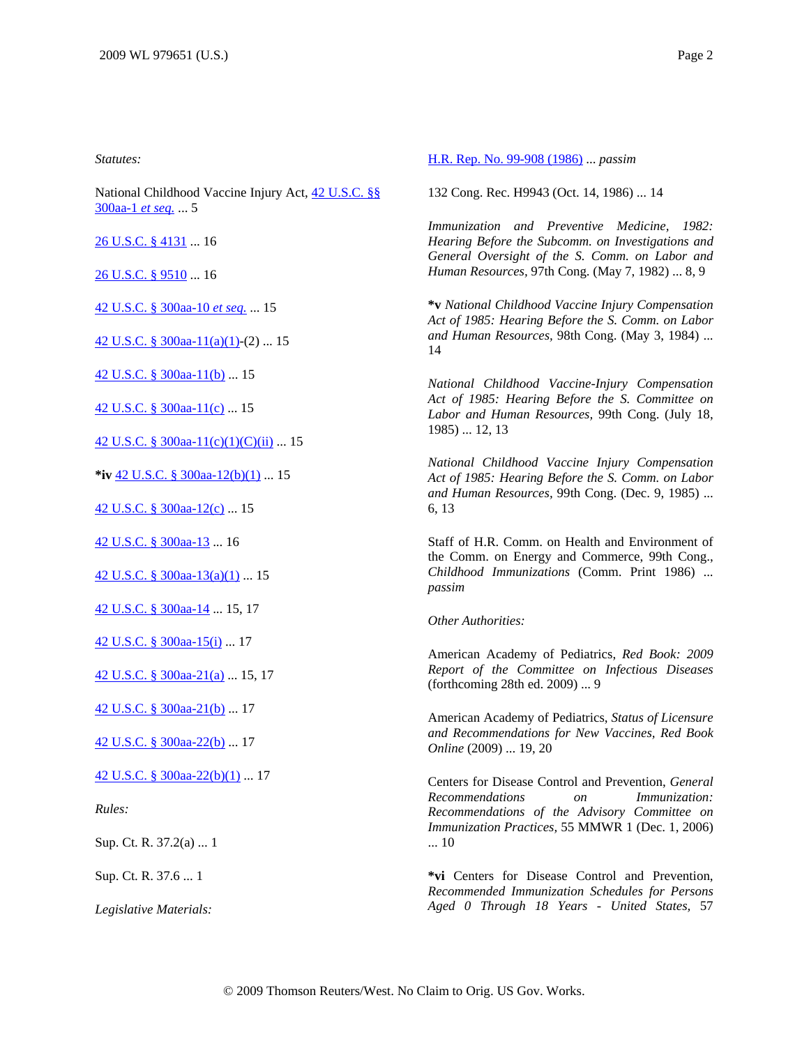#### *Statutes:*

National Childhood Vaccine Injury Act, 42 U.S.C. §§ 300aa-1 *et seq.* ... 5

26 U.S.C. § 4131 ... 16

26 U.S.C. § 9510 ... 16

42 U.S.C. § 300aa-10 *et seq.* ... 15

42 U.S.C. § 300aa-11(a)(1)-(2) ... 15

42 U.S.C. § 300aa-11(b) ... 15

42 U.S.C. § 300aa-11(c) ... 15

42 U.S.C. § 300aa-11(c)(1)(C)(ii) ... 15

**\*iv** 42 U.S.C. § 300aa-12(b)(1) ... 15

42 U.S.C. § 300aa-12(c) ... 15

42 U.S.C. § 300aa-13 ... 16

42 U.S.C. § 300aa-13(a)(1) ... 15

42 U.S.C. § 300aa-14 ... 15, 17

42 U.S.C. § 300aa-15(i) ... 17

42 U.S.C. § 300aa-21(a) ... 15, 17

42 U.S.C. § 300aa-21(b) ... 17

42 U.S.C. § 300aa-22(b) ... 17

42 U.S.C. § 300aa-22(b)(1) ... 17

*Rules:*

Sup. Ct. R. 37.2(a) ... 1

Sup. Ct. R. 37.6 ... 1

*Legislative Materials:*

H.R. Rep. No. 99-908 (1986) ... *passim*

132 Cong. Rec. H9943 (Oct. 14, 1986) ... 14

*Immunization and Preventive Medicine, 1982: Hearing Before the Subcomm. on Investigations and General Oversight of the S. Comm. on Labor and Human Resources,* 97th Cong. (May 7, 1982) ... 8, 9

**\*v** *National Childhood Vaccine Injury Compensation Act of 1985: Hearing Before the S. Comm. on Labor and Human Resources,* 98th Cong. (May 3, 1984) ... 14

*National Childhood Vaccine-Injury Compensation Act of 1985: Hearing Before the S. Committee on Labor and Human Resources,* 99th Cong. (July 18, 1985) ... 12, 13

*National Childhood Vaccine Injury Compensation Act of 1985: Hearing Before the S. Comm. on Labor and Human Resources,* 99th Cong. (Dec. 9, 1985) ... 6, 13

Staff of H.R. Comm. on Health and Environment of the Comm. on Energy and Commerce, 99th Cong., *Childhood Immunizations* (Comm. Print 1986) ... *passim*

*Other Authorities:*

American Academy of Pediatrics, *Red Book: 2009 Report of the Committee on Infectious Diseases* (forthcoming 28th ed. 2009) ... 9

American Academy of Pediatrics, *Status of Licensure and Recommendations for New Vaccines, Red Book Online* (2009) ... 19, 20

Centers for Disease Control and Prevention, *General Recommendations on Immunization: Recommendations of the Advisory Committee on Immunization Practices,* 55 MMWR 1 (Dec. 1, 2006) ... 10

**\*vi** Centers for Disease Control and Prevention, *Recommended Immunization Schedules for Persons Aged 0 Through 18 Years - United States,* 57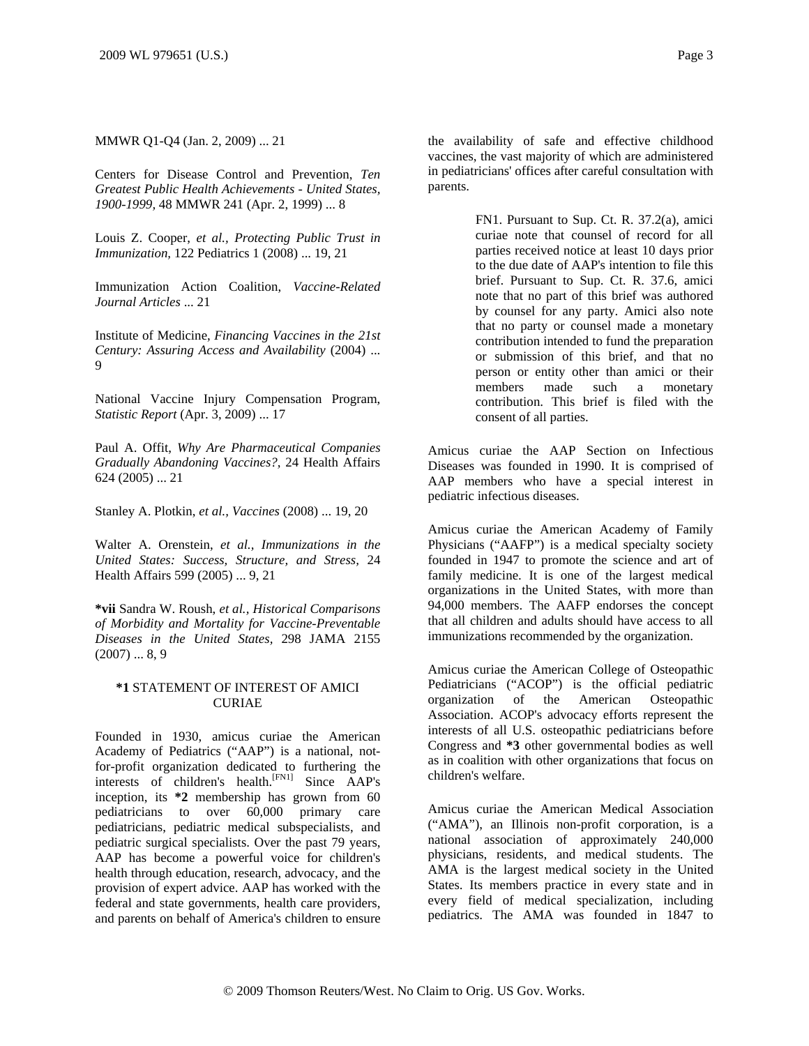MMWR Q1-Q4 (Jan. 2, 2009) ... 21

Centers for Disease Control and Prevention, *Ten Greatest Public Health Achievements - United States, 1900-1999,* 48 MMWR 241 (Apr. 2, 1999) ... 8

Louis Z. Cooper, *et al., Protecting Public Trust in Immunization,* 122 Pediatrics 1 (2008) ... 19, 21

Immunization Action Coalition, *Vaccine-Related Journal Articles* ... 21

Institute of Medicine, *Financing Vaccines in the 21st Century: Assuring Access and Availability* (2004) ... 9

National Vaccine Injury Compensation Program, *Statistic Report* (Apr. 3, 2009) ... 17

Paul A. Offit, *Why Are Pharmaceutical Companies Gradually Abandoning Vaccines?,* 24 Health Affairs 624 (2005) ... 21

Stanley A. Plotkin, *et al., Vaccines* (2008) ... 19, 20

Walter A. Orenstein, *et al., Immunizations in the United States: Success, Structure, and Stress,* 24 Health Affairs 599 (2005) ... 9, 21

**\*vii** Sandra W. Roush, *et al., Historical Comparisons of Morbidity and Mortality for Vaccine-Preventable Diseases in the United States,* 298 JAMA 2155  $(2007)$  ... 8, 9

### **\*1** STATEMENT OF INTEREST OF AMICI **CURIAE**

Founded in 1930, amicus curiae the American Academy of Pediatrics ("AAP") is a national, notfor-profit organization dedicated to furthering the interests of children's health.[FN1] Since AAP's inception, its **\*2** membership has grown from 60 pediatricians to over 60,000 primary care pediatricians, pediatric medical subspecialists, and pediatric surgical specialists. Over the past 79 years, AAP has become a powerful voice for children's health through education, research, advocacy, and the provision of expert advice. AAP has worked with the federal and state governments, health care providers, and parents on behalf of America's children to ensure

the availability of safe and effective childhood vaccines, the vast majority of which are administered in pediatricians' offices after careful consultation with parents.

> FN1. Pursuant to Sup. Ct. R. 37.2(a), amici curiae note that counsel of record for all parties received notice at least 10 days prior to the due date of AAP's intention to file this brief. Pursuant to Sup. Ct. R. 37.6, amici note that no part of this brief was authored by counsel for any party. Amici also note that no party or counsel made a monetary contribution intended to fund the preparation or submission of this brief, and that no person or entity other than amici or their members made such a monetary contribution. This brief is filed with the consent of all parties.

Amicus curiae the AAP Section on Infectious Diseases was founded in 1990. It is comprised of AAP members who have a special interest in pediatric infectious diseases.

Amicus curiae the American Academy of Family Physicians ("AAFP") is a medical specialty society founded in 1947 to promote the science and art of family medicine. It is one of the largest medical organizations in the United States, with more than 94,000 members. The AAFP endorses the concept that all children and adults should have access to all immunizations recommended by the organization.

Amicus curiae the American College of Osteopathic Pediatricians ("ACOP") is the official pediatric organization of the American Osteopathic Association. ACOP's advocacy efforts represent the interests of all U.S. osteopathic pediatricians before Congress and **\*3** other governmental bodies as well as in coalition with other organizations that focus on children's welfare.

Amicus curiae the American Medical Association ("AMA"), an Illinois non-profit corporation, is a national association of approximately 240,000 physicians, residents, and medical students. The AMA is the largest medical society in the United States. Its members practice in every state and in every field of medical specialization, including pediatrics. The AMA was founded in 1847 to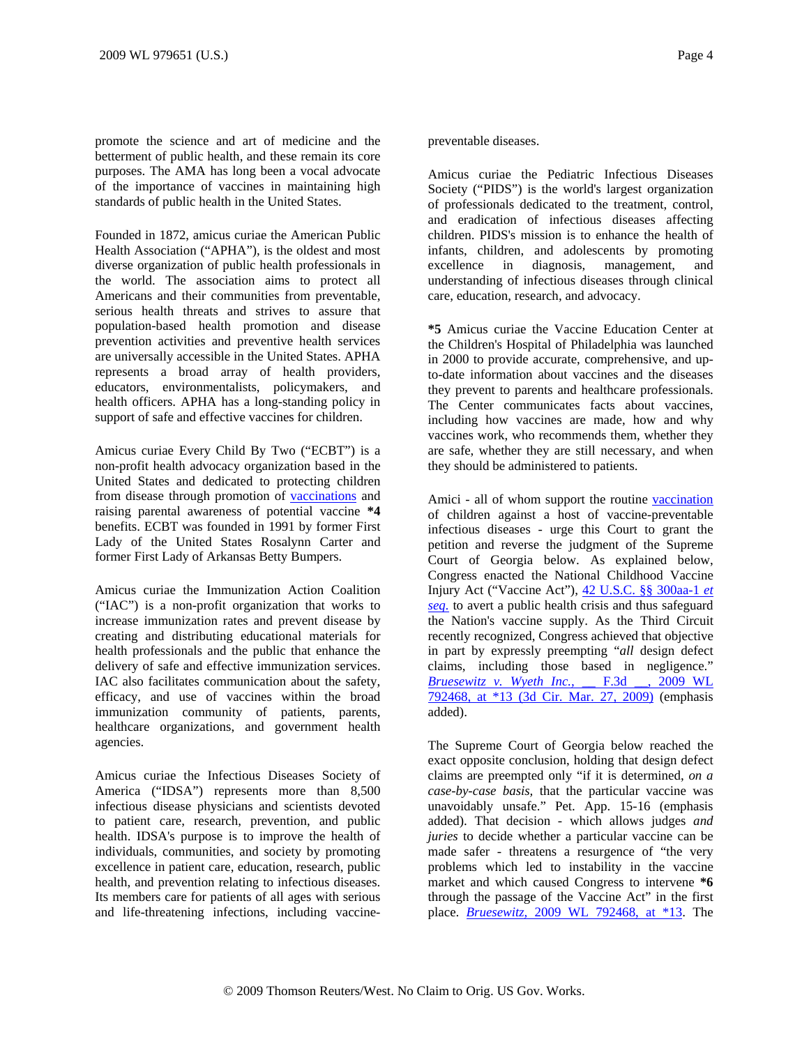promote the science and art of medicine and the betterment of public health, and these remain its core purposes. The AMA has long been a vocal advocate of the importance of vaccines in maintaining high standards of public health in the United States.

Founded in 1872, amicus curiae the American Public Health Association ("APHA"), is the oldest and most diverse organization of public health professionals in the world. The association aims to protect all Americans and their communities from preventable, serious health threats and strives to assure that population-based health promotion and disease prevention activities and preventive health services are universally accessible in the United States. APHA represents a broad array of health providers, educators, environmentalists, policymakers, and health officers. APHA has a long-standing policy in support of safe and effective vaccines for children.

Amicus curiae Every Child By Two ("ECBT") is a non-profit health advocacy organization based in the United States and dedicated to protecting children from disease through promotion of vaccinations and raising parental awareness of potential vaccine **\*4** benefits. ECBT was founded in 1991 by former First Lady of the United States Rosalynn Carter and former First Lady of Arkansas Betty Bumpers.

Amicus curiae the Immunization Action Coalition ("IAC") is a non-profit organization that works to increase immunization rates and prevent disease by creating and distributing educational materials for health professionals and the public that enhance the delivery of safe and effective immunization services. IAC also facilitates communication about the safety, efficacy, and use of vaccines within the broad immunization community of patients, parents, healthcare organizations, and government health agencies.

Amicus curiae the Infectious Diseases Society of America ("IDSA") represents more than 8,500 infectious disease physicians and scientists devoted to patient care, research, prevention, and public health. IDSA's purpose is to improve the health of individuals, communities, and society by promoting excellence in patient care, education, research, public health, and prevention relating to infectious diseases. Its members care for patients of all ages with serious and life-threatening infections, including vaccinepreventable diseases.

Amicus curiae the Pediatric Infectious Diseases Society ("PIDS") is the world's largest organization of professionals dedicated to the treatment, control, and eradication of infectious diseases affecting children. PIDS's mission is to enhance the health of infants, children, and adolescents by promoting excellence in diagnosis, management, and understanding of infectious diseases through clinical care, education, research, and advocacy.

**\*5** Amicus curiae the Vaccine Education Center at the Children's Hospital of Philadelphia was launched in 2000 to provide accurate, comprehensive, and upto-date information about vaccines and the diseases they prevent to parents and healthcare professionals. The Center communicates facts about vaccines, including how vaccines are made, how and why vaccines work, who recommends them, whether they are safe, whether they are still necessary, and when they should be administered to patients.

Amici - all of whom support the routine vaccination of children against a host of vaccine-preventable infectious diseases - urge this Court to grant the petition and reverse the judgment of the Supreme Court of Georgia below. As explained below, Congress enacted the National Childhood Vaccine Injury Act ("Vaccine Act"), 42 U.S.C. §§ 300aa-1 *et seq.* to avert a public health crisis and thus safeguard the Nation's vaccine supply. As the Third Circuit recently recognized, Congress achieved that objective in part by expressly preempting "*all* design defect claims, including those based in negligence." *Bruesewitz v. Wyeth Inc.,* \_\_ F.3d \_\_, 2009 WL 792468, at \*13 (3d Cir. Mar. 27, 2009) (emphasis added).

The Supreme Court of Georgia below reached the exact opposite conclusion, holding that design defect claims are preempted only "if it is determined, *on a case-by-case basis,* that the particular vaccine was unavoidably unsafe." Pet. App. 15-16 (emphasis added). That decision - which allows judges *and juries* to decide whether a particular vaccine can be made safer - threatens a resurgence of "the very problems which led to instability in the vaccine market and which caused Congress to intervene **\*6** through the passage of the Vaccine Act" in the first place. *Bruesewitz,* 2009 WL 792468, at \*13. The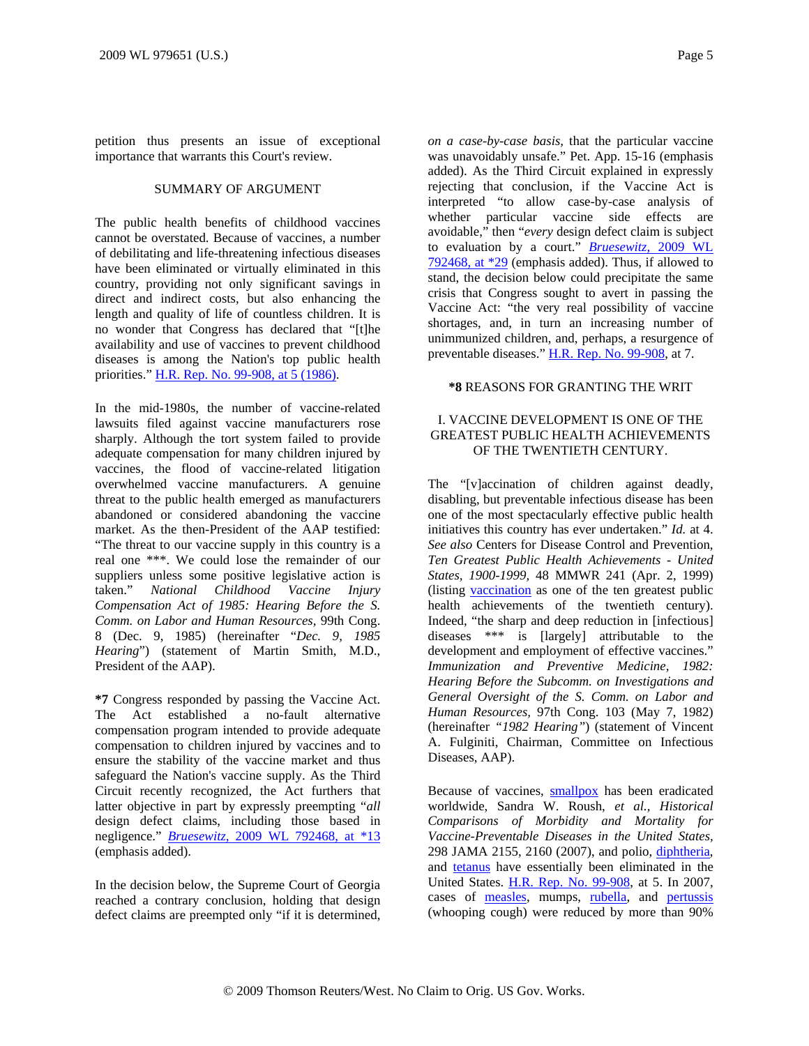petition thus presents an issue of exceptional importance that warrants this Court's review.

## SUMMARY OF ARGUMENT

The public health benefits of childhood vaccines cannot be overstated. Because of vaccines, a number of debilitating and life-threatening infectious diseases have been eliminated or virtually eliminated in this country, providing not only significant savings in direct and indirect costs, but also enhancing the length and quality of life of countless children. It is no wonder that Congress has declared that "[t]he availability and use of vaccines to prevent childhood diseases is among the Nation's top public health priorities." H.R. Rep. No. 99-908, at 5 (1986).

In the mid-1980s, the number of vaccine-related lawsuits filed against vaccine manufacturers rose sharply. Although the tort system failed to provide adequate compensation for many children injured by vaccines, the flood of vaccine-related litigation overwhelmed vaccine manufacturers. A genuine threat to the public health emerged as manufacturers abandoned or considered abandoning the vaccine market. As the then-President of the AAP testified: "The threat to our vaccine supply in this country is a real one \*\*\*. We could lose the remainder of our suppliers unless some positive legislative action is taken." *National Childhood Vaccine Injury Compensation Act of 1985: Hearing Before the S. Comm. on Labor and Human Resources,* 99th Cong. 8 (Dec. 9, 1985) (hereinafter "*Dec. 9, 1985 Hearing*") (statement of Martin Smith, M.D., President of the AAP).

**\*7** Congress responded by passing the Vaccine Act. The Act established a no-fault alternative compensation program intended to provide adequate compensation to children injured by vaccines and to ensure the stability of the vaccine market and thus safeguard the Nation's vaccine supply. As the Third Circuit recently recognized, the Act furthers that latter objective in part by expressly preempting "*all* design defect claims, including those based in negligence." *Bruesewitz,* 2009 WL 792468, at \*13 (emphasis added).

In the decision below, the Supreme Court of Georgia reached a contrary conclusion, holding that design defect claims are preempted only "if it is determined, *on a case-by-case basis,* that the particular vaccine was unavoidably unsafe." Pet. App. 15-16 (emphasis added). As the Third Circuit explained in expressly rejecting that conclusion, if the Vaccine Act is interpreted "to allow case-by-case analysis of whether particular vaccine side effects are avoidable," then "*every* design defect claim is subject to evaluation by a court." *Bruesewitz,* 2009 WL 792468, at \*29 (emphasis added). Thus, if allowed to stand, the decision below could precipitate the same crisis that Congress sought to avert in passing the Vaccine Act: "the very real possibility of vaccine shortages, and, in turn an increasing number of unimmunized children, and, perhaps, a resurgence of preventable diseases." H.R. Rep. No. 99-908, at 7.

## **\*8** REASONS FOR GRANTING THE WRIT

## I. VACCINE DEVELOPMENT IS ONE OF THE GREATEST PUBLIC HEALTH ACHIEVEMENTS OF THE TWENTIETH CENTURY.

The "[v]accination of children against deadly, disabling, but preventable infectious disease has been one of the most spectacularly effective public health initiatives this country has ever undertaken." *Id.* at 4. *See also* Centers for Disease Control and Prevention, *Ten Greatest Public Health Achievements - United States, 1900-1999,* 48 MMWR 241 (Apr. 2, 1999) (listing vaccination as one of the ten greatest public health achievements of the twentieth century). Indeed, "the sharp and deep reduction in [infectious] diseases \*\*\* is [largely] attributable to the development and employment of effective vaccines." *Immunization and Preventive Medicine, 1982: Hearing Before the Subcomm. on Investigations and General Oversight of the S. Comm. on Labor and Human Resources,* 97th Cong. 103 (May 7, 1982) (hereinafter *"1982 Hearing"*) (statement of Vincent A. Fulginiti, Chairman, Committee on Infectious Diseases, AAP).

Because of vaccines, smallpox has been eradicated worldwide, Sandra W. Roush, *et al., Historical Comparisons of Morbidity and Mortality for Vaccine-Preventable Diseases in the United States,* 298 JAMA 2155, 2160 (2007), and polio, diphtheria, and tetanus have essentially been eliminated in the United States. H.R. Rep. No. 99-908, at 5. In 2007, cases of measles, mumps, rubella, and pertussis (whooping cough) were reduced by more than 90%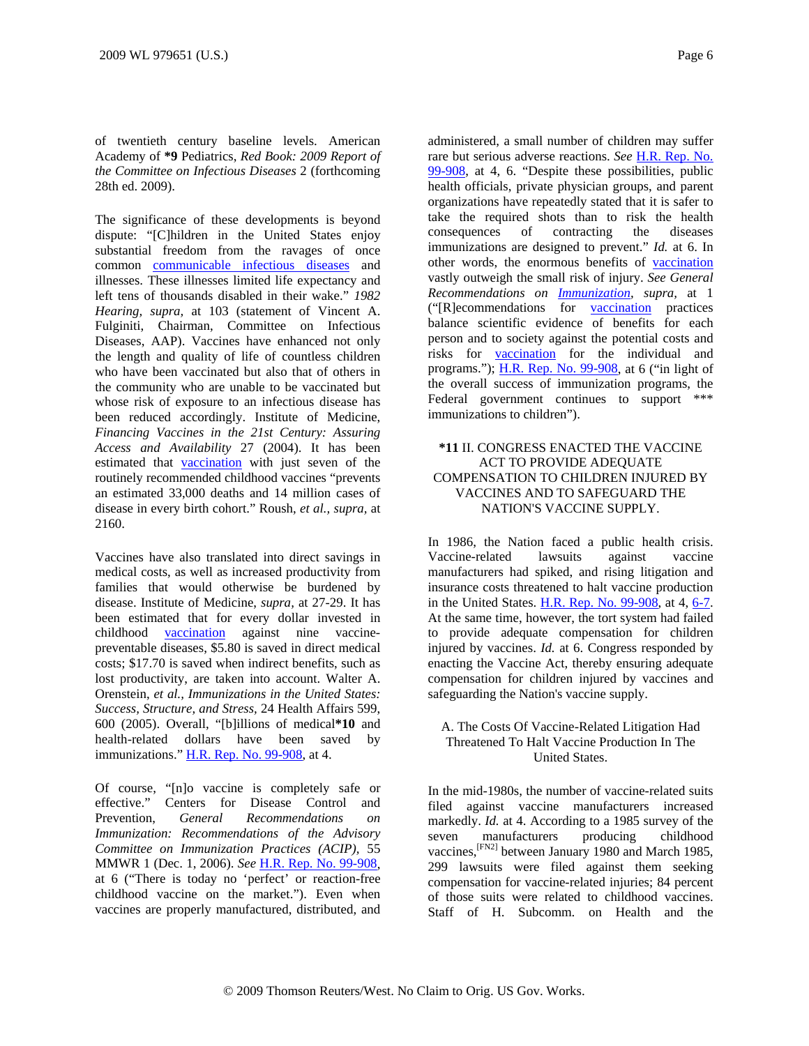of twentieth century baseline levels. American Academy of **\*9** Pediatrics, *Red Book: 2009 Report of the Committee on Infectious Diseases* 2 (forthcoming 28th ed. 2009).

The significance of these developments is beyond dispute: "[C]hildren in the United States enjoy substantial freedom from the ravages of once common communicable infectious diseases and illnesses. These illnesses limited life expectancy and left tens of thousands disabled in their wake." *1982 Hearing, supra,* at 103 (statement of Vincent A. Fulginiti, Chairman, Committee on Infectious Diseases, AAP). Vaccines have enhanced not only the length and quality of life of countless children who have been vaccinated but also that of others in the community who are unable to be vaccinated but whose risk of exposure to an infectious disease has been reduced accordingly. Institute of Medicine, *Financing Vaccines in the 21st Century: Assuring Access and Availability* 27 (2004). It has been estimated that vaccination with just seven of the routinely recommended childhood vaccines "prevents an estimated 33,000 deaths and 14 million cases of disease in every birth cohort." Roush, *et al., supra,* at 2160.

Vaccines have also translated into direct savings in medical costs, as well as increased productivity from families that would otherwise be burdened by disease. Institute of Medicine, *supra,* at 27-29. It has been estimated that for every dollar invested in childhood vaccination against nine vaccinepreventable diseases, \$5.80 is saved in direct medical costs; \$17.70 is saved when indirect benefits, such as lost productivity, are taken into account. Walter A. Orenstein, *et al., Immunizations in the United States: Success, Structure, and Stress,* 24 Health Affairs 599, 600 (2005). Overall, "[b]illions of medical**\*10** and health-related dollars have been saved by immunizations." H.R. Rep. No. 99-908, at 4.

Of course, "[n]o vaccine is completely safe or effective." Centers for Disease Control and Prevention, *General Recommendations on Immunization: Recommendations of the Advisory Committee on Immunization Practices (ACIP),* 55 MMWR 1 (Dec. 1, 2006). *See* H.R. Rep. No. 99-908, at 6 ("There is today no 'perfect' or reaction-free childhood vaccine on the market."). Even when vaccines are properly manufactured, distributed, and

administered, a small number of children may suffer rare but serious adverse reactions. *See* H.R. Rep. No. 99-908, at 4, 6. "Despite these possibilities, public health officials, private physician groups, and parent organizations have repeatedly stated that it is safer to take the required shots than to risk the health consequences of contracting the diseases immunizations are designed to prevent." *Id.* at 6. In other words, the enormous benefits of vaccination vastly outweigh the small risk of injury. *See General Recommendations on Immunization, supra,* at 1 ("[R]ecommendations for vaccination practices balance scientific evidence of benefits for each person and to society against the potential costs and risks for vaccination for the individual and programs."); H.R. Rep. No. 99-908, at 6 ("in light of the overall success of immunization programs, the Federal government continues to support \*\*\* immunizations to children").

# **\*11** II. CONGRESS ENACTED THE VACCINE ACT TO PROVIDE ADEQUATE COMPENSATION TO CHILDREN INJURED BY VACCINES AND TO SAFEGUARD THE NATION'S VACCINE SUPPLY.

In 1986, the Nation faced a public health crisis. Vaccine-related lawsuits against vaccine manufacturers had spiked, and rising litigation and insurance costs threatened to halt vaccine production in the United States. H.R. Rep. No. 99-908, at 4, 6-7. At the same time, however, the tort system had failed to provide adequate compensation for children injured by vaccines. *Id.* at 6. Congress responded by enacting the Vaccine Act, thereby ensuring adequate compensation for children injured by vaccines and safeguarding the Nation's vaccine supply.

# A. The Costs Of Vaccine-Related Litigation Had Threatened To Halt Vaccine Production In The United States.

In the mid-1980s, the number of vaccine-related suits filed against vaccine manufacturers increased markedly. *Id.* at 4. According to a 1985 survey of the seven manufacturers producing childhood seven manufacturers producing childhood vaccines,[FN2] between January 1980 and March 1985, 299 lawsuits were filed against them seeking compensation for vaccine-related injuries; 84 percent of those suits were related to childhood vaccines. Staff of H. Subcomm. on Health and the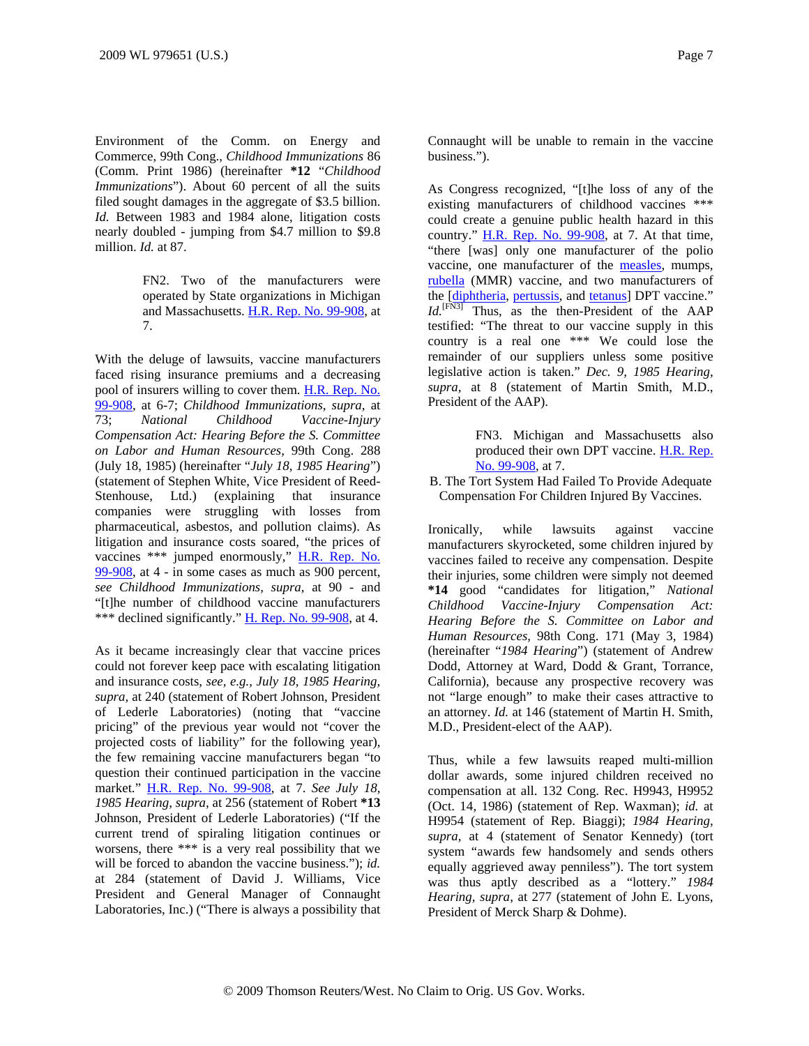Environment of the Comm. on Energy and Commerce, 99th Cong., *Childhood Immunizations* 86 (Comm. Print 1986) (hereinafter **\*12** "*Childhood Immunizations*"). About 60 percent of all the suits filed sought damages in the aggregate of \$3.5 billion. *Id.* Between 1983 and 1984 alone, litigation costs nearly doubled - jumping from \$4.7 million to \$9.8 million. *Id.* at 87.

> FN2. Two of the manufacturers were operated by State organizations in Michigan and Massachusetts. H.R. Rep. No. 99-908, at 7.

With the deluge of lawsuits, vaccine manufacturers faced rising insurance premiums and a decreasing pool of insurers willing to cover them. H.R. Rep. No. 99-908, at 6-7; *Childhood Immunizations, supra*, at 73; *National Childhood Vaccine-Injury Compensation Act: Hearing Before the S. Committee on Labor and Human Resources,* 99th Cong. 288 (July 18, 1985) (hereinafter "*July 18, 1985 Hearing*") (statement of Stephen White, Vice President of Reed-Stenhouse, Ltd.) (explaining that insurance companies were struggling with losses from pharmaceutical, asbestos, and pollution claims). As litigation and insurance costs soared, "the prices of vaccines \*\*\* jumped enormously," H.R. Rep. No. 99-908, at 4 - in some cases as much as 900 percent, *see Childhood Immunizations, supra,* at 90 - and "[t]he number of childhood vaccine manufacturers \*\*\* declined significantly." H. Rep. No. 99-908, at 4.

As it became increasingly clear that vaccine prices could not forever keep pace with escalating litigation and insurance costs, *see, e.g., July 18, 1985 Hearing, supra,* at 240 (statement of Robert Johnson, President of Lederle Laboratories) (noting that "vaccine pricing" of the previous year would not "cover the projected costs of liability" for the following year), the few remaining vaccine manufacturers began "to question their continued participation in the vaccine market." H.R. Rep. No. 99-908, at 7. *See July 18, 1985 Hearing, supra,* at 256 (statement of Robert **\*13** Johnson, President of Lederle Laboratories) ("If the current trend of spiraling litigation continues or worsens, there \*\*\* is a very real possibility that we will be forced to abandon the vaccine business."); *id.* at 284 (statement of David J. Williams, Vice President and General Manager of Connaught Laboratories, Inc.) ("There is always a possibility that

Connaught will be unable to remain in the vaccine business.").

As Congress recognized, "[t]he loss of any of the existing manufacturers of childhood vaccines \*\*\* could create a genuine public health hazard in this country." H.R. Rep. No. 99-908, at 7. At that time, "there [was] only one manufacturer of the polio vaccine, one manufacturer of the measles, mumps, rubella (MMR) vaccine, and two manufacturers of the [diphtheria, pertussis, and tetanus] DPT vaccine." *Id.*<sup>[FN3]</sup> Thus, as the then-President of the AAP testified: "The threat to our vaccine supply in this country is a real one \*\*\* We could lose the remainder of our suppliers unless some positive legislative action is taken." *Dec. 9, 1985 Hearing, supra,* at 8 (statement of Martin Smith, M.D., President of the AAP).

> FN3. Michigan and Massachusetts also produced their own DPT vaccine. H.R. Rep. No. 99-908, at 7.

B. The Tort System Had Failed To Provide Adequate Compensation For Children Injured By Vaccines.

Ironically, while lawsuits against vaccine manufacturers skyrocketed, some children injured by vaccines failed to receive any compensation. Despite their injuries, some children were simply not deemed **\*14** good "candidates for litigation," *National Childhood Vaccine-Injury Compensation Act: Hearing Before the S. Committee on Labor and Human Resources,* 98th Cong. 171 (May 3, 1984) (hereinafter "*1984 Hearing*") (statement of Andrew Dodd, Attorney at Ward, Dodd & Grant, Torrance, California), because any prospective recovery was not "large enough" to make their cases attractive to an attorney. *Id.* at 146 (statement of Martin H. Smith, M.D., President-elect of the AAP).

Thus, while a few lawsuits reaped multi-million dollar awards, some injured children received no compensation at all. 132 Cong. Rec. H9943, H9952 (Oct. 14, 1986) (statement of Rep. Waxman); *id.* at H9954 (statement of Rep. Biaggi); *1984 Hearing, supra,* at 4 (statement of Senator Kennedy) (tort system "awards few handsomely and sends others equally aggrieved away penniless"). The tort system was thus aptly described as a "lottery." *1984 Hearing, supra,* at 277 (statement of John E. Lyons, President of Merck Sharp & Dohme).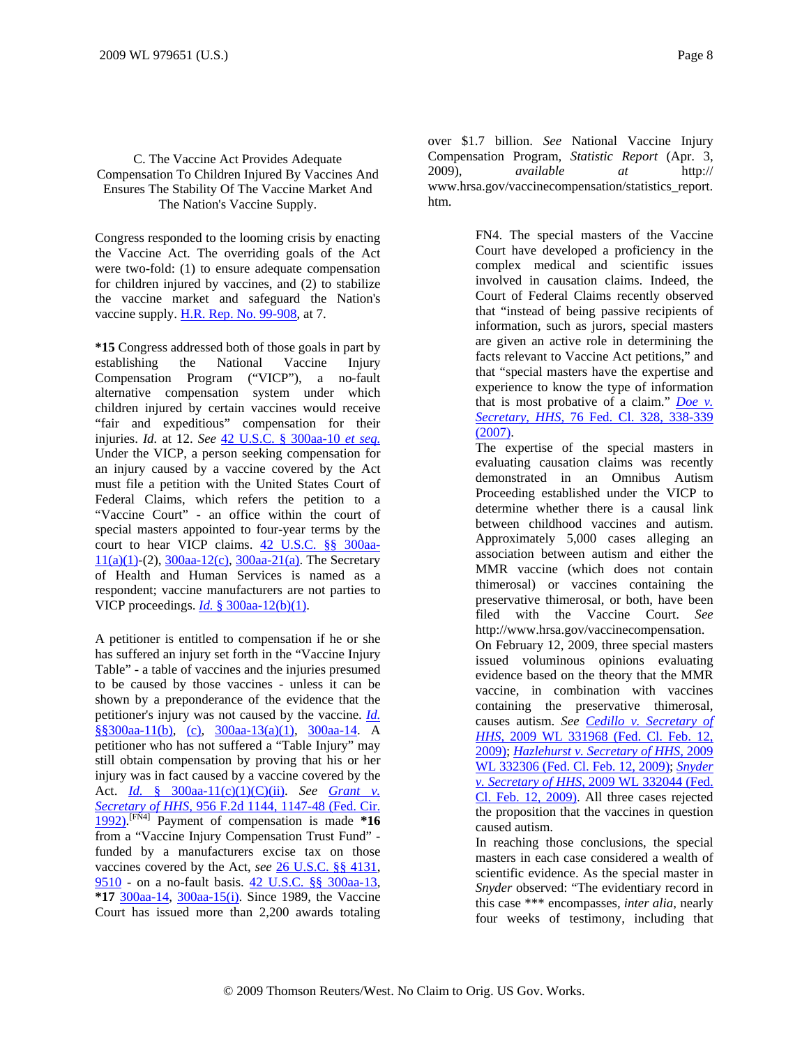# C. The Vaccine Act Provides Adequate Compensation To Children Injured By Vaccines And Ensures The Stability Of The Vaccine Market And The Nation's Vaccine Supply.

Congress responded to the looming crisis by enacting the Vaccine Act. The overriding goals of the Act were two-fold: (1) to ensure adequate compensation for children injured by vaccines, and (2) to stabilize the vaccine market and safeguard the Nation's vaccine supply. H.R. Rep. No. 99-908, at 7.

**\*15** Congress addressed both of those goals in part by establishing the National Vaccine Injury Compensation Program ("VICP"), a no-fault alternative compensation system under which children injured by certain vaccines would receive "fair and expeditious" compensation for their injuries. *Id.* at 12. *See* 42 U.S.C. § 300aa-10 *et seq.* Under the VICP, a person seeking compensation for an injury caused by a vaccine covered by the Act must file a petition with the United States Court of Federal Claims, which refers the petition to a "Vaccine Court" - an office within the court of special masters appointed to four-year terms by the court to hear VICP claims. 42 U.S.C. §§ 300aa- $11(a)(1)-(2)$ ,  $300aa-12(c)$ ,  $300aa-21(a)$ . The Secretary of Health and Human Services is named as a respondent; vaccine manufacturers are not parties to VICP proceedings. *Id.* § 300aa-12(b)(1).

A petitioner is entitled to compensation if he or she has suffered an injury set forth in the "Vaccine Injury Table" - a table of vaccines and the injuries presumed to be caused by those vaccines - unless it can be shown by a preponderance of the evidence that the petitioner's injury was not caused by the vaccine. *Id.* §§300aa-11(b), (c), 300aa-13(a)(1), 300aa-14. A petitioner who has not suffered a "Table Injury" may still obtain compensation by proving that his or her injury was in fact caused by a vaccine covered by the Act. *Id.* § 300aa-11(c)(1)(C)(ii). *See Grant v. Secretary of HHS,* 956 F.2d 1144, 1147-48 (Fed. Cir. 1992). [FN4] Payment of compensation is made **\*16** from a "Vaccine Injury Compensation Trust Fund" funded by a manufacturers excise tax on those vaccines covered by the Act, *see* 26 U.S.C. §§ 4131, 9510 - on a no-fault basis. 42 U.S.C. §§ 300aa-13, **\*17** 300aa-14, 300aa-15(i). Since 1989, the Vaccine Court has issued more than 2,200 awards totaling

over \$1.7 billion. *See* National Vaccine Injury Compensation Program, *Statistic Report* (Apr. 3, 2009), *available at* http:// www.hrsa.gov/vaccinecompensation/statistics\_report. htm.

> FN4. The special masters of the Vaccine Court have developed a proficiency in the complex medical and scientific issues involved in causation claims. Indeed, the Court of Federal Claims recently observed that "instead of being passive recipients of information, such as jurors, special masters are given an active role in determining the facts relevant to Vaccine Act petitions," and that "special masters have the expertise and experience to know the type of information that is most probative of a claim." *Doe v. Secretary, HHS,* 76 Fed. Cl. 328, 338-339 (2007).

> The expertise of the special masters in evaluating causation claims was recently demonstrated in an Omnibus Autism Proceeding established under the VICP to determine whether there is a causal link between childhood vaccines and autism. Approximately 5,000 cases alleging an association between autism and either the MMR vaccine (which does not contain thimerosal) or vaccines containing the preservative thimerosal, or both, have been filed with the Vaccine Court. *See* http://www.hrsa.gov/vaccinecompensation. On February 12, 2009, three special masters issued voluminous opinions evaluating evidence based on the theory that the MMR vaccine, in combination with vaccines containing the preservative thimerosal, causes autism. *See Cedillo v. Secretary of HHS,* 2009 WL 331968 (Fed. Cl. Feb. 12, 2009); *Hazlehurst v. Secretary of HHS,* 2009 WL 332306 (Fed. Cl. Feb. 12, 2009); *Snyder v. Secretary of HHS,* 2009 WL 332044 (Fed. Cl. Feb. 12, 2009). All three cases rejected the proposition that the vaccines in question caused autism.

> In reaching those conclusions, the special masters in each case considered a wealth of scientific evidence. As the special master in *Snyder* observed: "The evidentiary record in this case \*\*\* encompasses, *inter alia*, nearly four weeks of testimony, including that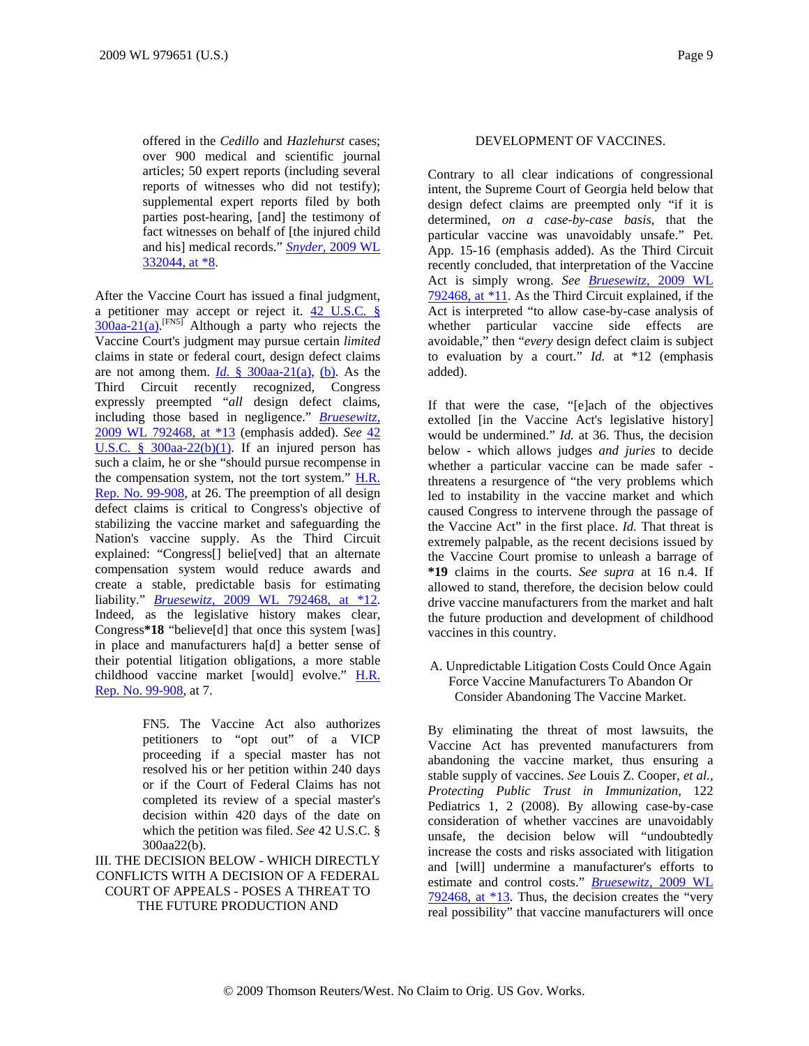offered in the *Cedillo* and *Hazlehurst* cases; over 900 medical and scientific journal articles; 50 expert reports (including several reports of witnesses who did not testify); supplemental expert reports filed by both parties post-hearing, [and] the testimony of fact witnesses on behalf of [the injured child and his] medical records." *Snyder,* 2009 WL 332044, at \*8.

After the Vaccine Court has issued a final judgment, a petitioner may accept or reject it.  $42 \text{ U.S.C.}$  §  $300$ aa-21(a).<sup>[FN5]</sup> Although a party who rejects the Vaccine Court's judgment may pursue certain *limited* claims in state or federal court, design defect claims are not among them. *Id.* §  $300aa-21(a)$ , (b). As the Third Circuit recently recognized, Congress expressly preempted "*all* design defect claims, including those based in negligence." *Bruesewitz,* 2009 WL 792468, at \*13 (emphasis added). *See* 42 U.S.C. § 300aa-22(b)(1). If an injured person has such a claim, he or she "should pursue recompense in the compensation system, not the tort system." H.R. Rep. No. 99-908, at 26. The preemption of all design defect claims is critical to Congress's objective of stabilizing the vaccine market and safeguarding the Nation's vaccine supply. As the Third Circuit explained: "Congress[] belie[ved] that an alternate compensation system would reduce awards and create a stable, predictable basis for estimating liability." *Bruesewitz,* 2009 WL 792468, at \*12. Indeed, as the legislative history makes clear, Congress**\*18** "believe[d] that once this system [was] in place and manufacturers ha[d] a better sense of their potential litigation obligations, a more stable childhood vaccine market [would] evolve." H.R. Rep. No. 99-908, at 7.

> FN5. The Vaccine Act also authorizes petitioners to "opt out" of a VICP proceeding if a special master has not resolved his or her petition within 240 days or if the Court of Federal Claims has not completed its review of a special master's decision within 420 days of the date on which the petition was filed. *See* 42 U.S.C. § 300aa22(b).

III. THE DECISION BELOW - WHICH DIRECTLY CONFLICTS WITH A DECISION OF A FEDERAL COURT OF APPEALS - POSES A THREAT TO THE FUTURE PRODUCTION AND

Contrary to all clear indications of congressional intent, the Supreme Court of Georgia held below that design defect claims are preempted only "if it is determined, *on a case-by-case basis*, that the particular vaccine was unavoidably unsafe." Pet. App. 15-16 (emphasis added). As the Third Circuit recently concluded, that interpretation of the Vaccine Act is simply wrong. *See Bruesewitz,* 2009 WL 792468, at \*11. As the Third Circuit explained, if the Act is interpreted "to allow case-by-case analysis of whether particular vaccine side effects are avoidable," then "*every* design defect claim is subject to evaluation by a court." *Id.* at \*12 (emphasis added).

If that were the case, "[e]ach of the objectives extolled [in the Vaccine Act's legislative history] would be undermined." *Id.* at 36. Thus, the decision below - which allows judges *and juries* to decide whether a particular vaccine can be made safer threatens a resurgence of "the very problems which led to instability in the vaccine market and which caused Congress to intervene through the passage of the Vaccine Act" in the first place. *Id.* That threat is extremely palpable, as the recent decisions issued by the Vaccine Court promise to unleash a barrage of **\*19** claims in the courts. *See supra* at 16 n.4. If allowed to stand, therefore, the decision below could drive vaccine manufacturers from the market and halt the future production and development of childhood vaccines in this country.

A. Unpredictable Litigation Costs Could Once Again Force Vaccine Manufacturers To Abandon Or Consider Abandoning The Vaccine Market.

By eliminating the threat of most lawsuits, the Vaccine Act has prevented manufacturers from abandoning the vaccine market, thus ensuring a stable supply of vaccines. *See* Louis Z. Cooper, *et al., Protecting Public Trust in Immunization,* 122 Pediatrics 1, 2 (2008). By allowing case-by-case consideration of whether vaccines are unavoidably unsafe, the decision below will "undoubtedly increase the costs and risks associated with litigation and [will] undermine a manufacturer's efforts to estimate and control costs." *Bruesewitz,* 2009 WL  $792468$ , at  $*13$ . Thus, the decision creates the "very real possibility" that vaccine manufacturers will once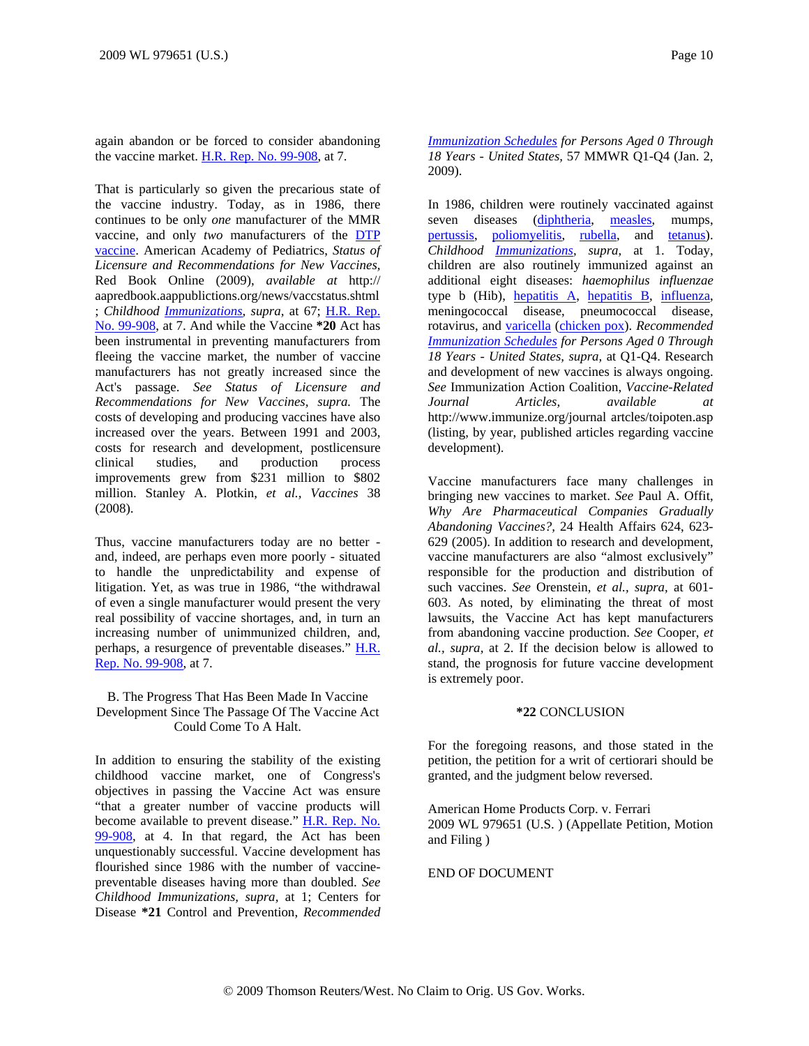again abandon or be forced to consider abandoning the vaccine market. H.R. Rep. No. 99-908, at 7.

That is particularly so given the precarious state of the vaccine industry. Today, as in 1986, there continues to be only *one* manufacturer of the MMR vaccine, and only *two* manufacturers of the DTP vaccine. American Academy of Pediatrics, *Status of Licensure and Recommendations for New Vaccines,* Red Book Online (2009), *available at* http:// aapredbook.aappublictions.org/news/vaccstatus.shtml ; *Childhood Immunizations, supra,* at 67; H.R. Rep. No. 99-908, at 7. And while the Vaccine **\*20** Act has been instrumental in preventing manufacturers from fleeing the vaccine market, the number of vaccine manufacturers has not greatly increased since the Act's passage. *See Status of Licensure and Recommendations for New Vaccines, supra.* The costs of developing and producing vaccines have also increased over the years. Between 1991 and 2003, costs for research and development, postlicensure clinical studies, and production process improvements grew from \$231 million to \$802 million. Stanley A. Plotkin, *et al., Vaccines* 38 (2008).

Thus, vaccine manufacturers today are no better and, indeed, are perhaps even more poorly - situated to handle the unpredictability and expense of litigation. Yet, as was true in 1986, "the withdrawal of even a single manufacturer would present the very real possibility of vaccine shortages, and, in turn an increasing number of unimmunized children, and, perhaps, a resurgence of preventable diseases." H.R. Rep. No. 99-908, at 7.

# B. The Progress That Has Been Made In Vaccine Development Since The Passage Of The Vaccine Act Could Come To A Halt.

In addition to ensuring the stability of the existing childhood vaccine market, one of Congress's objectives in passing the Vaccine Act was ensure "that a greater number of vaccine products will become available to prevent disease." H.R. Rep. No. 99-908, at 4. In that regard, the Act has been unquestionably successful. Vaccine development has flourished since 1986 with the number of vaccinepreventable diseases having more than doubled. *See Childhood Immunizations, supra,* at 1; Centers for Disease **\*21** Control and Prevention, *Recommended* 

*Immunization Schedules for Persons Aged 0 Through 18 Years - United States,* 57 MMWR Q1-Q4 (Jan. 2, 2009).

In 1986, children were routinely vaccinated against seven diseases (diphtheria, measles, mumps, pertussis, poliomyelitis, rubella, and tetanus). *Childhood Immunizations, supra,* at 1. Today, children are also routinely immunized against an additional eight diseases: *haemophilus influenzae* type b (Hib), hepatitis A, hepatitis B, influenza, meningococcal disease, pneumococcal disease, rotavirus, and varicella (chicken pox). *Recommended Immunization Schedules for Persons Aged 0 Through 18 Years - United States, supra,* at Q1-Q4. Research and development of new vaccines is always ongoing. *See* Immunization Action Coalition, *Vaccine-Related Journal Articles, available at* http://www.immunize.org/journal artcles/toipoten.asp (listing, by year, published articles regarding vaccine development).

Vaccine manufacturers face many challenges in bringing new vaccines to market. *See* Paul A. Offit, *Why Are Pharmaceutical Companies Gradually Abandoning Vaccines?,* 24 Health Affairs 624, 623- 629 (2005). In addition to research and development, vaccine manufacturers are also "almost exclusively" responsible for the production and distribution of such vaccines. *See* Orenstein, *et al., supra,* at 601- 603. As noted, by eliminating the threat of most lawsuits, the Vaccine Act has kept manufacturers from abandoning vaccine production. *See* Cooper, *et al., supra,* at 2. If the decision below is allowed to stand, the prognosis for future vaccine development is extremely poor.

## **\*22** CONCLUSION

For the foregoing reasons, and those stated in the petition, the petition for a writ of certiorari should be granted, and the judgment below reversed.

American Home Products Corp. v. Ferrari 2009 WL 979651 (U.S. ) (Appellate Petition, Motion and Filing )

END OF DOCUMENT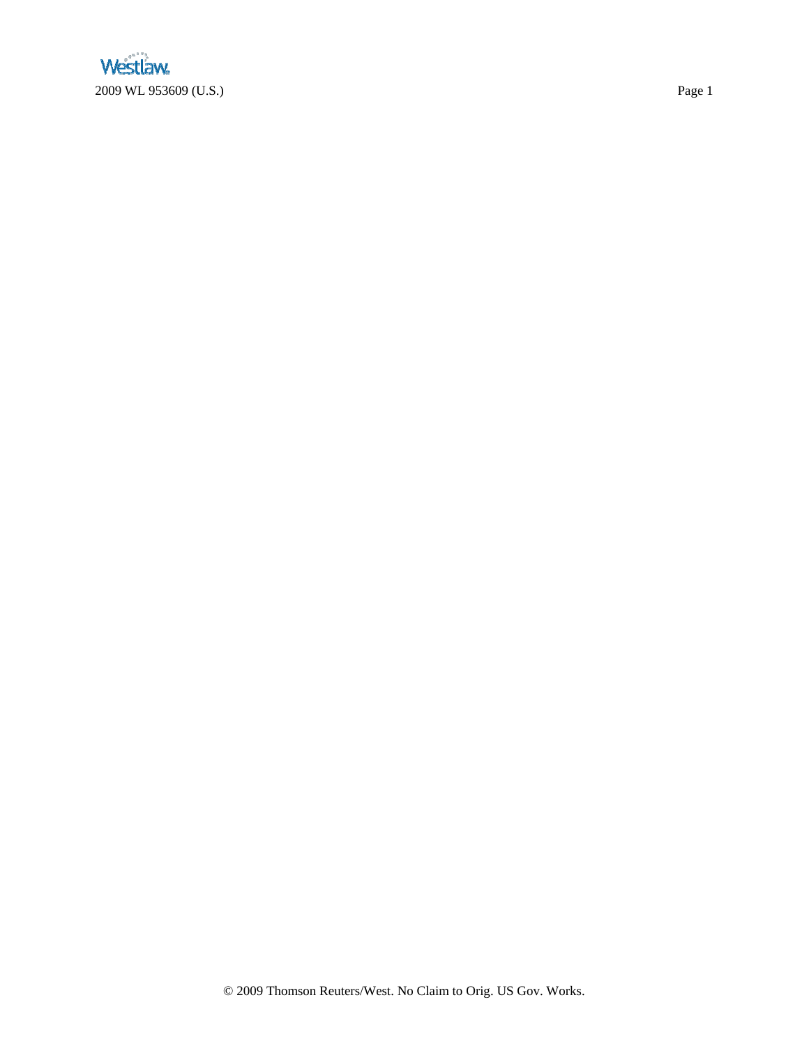